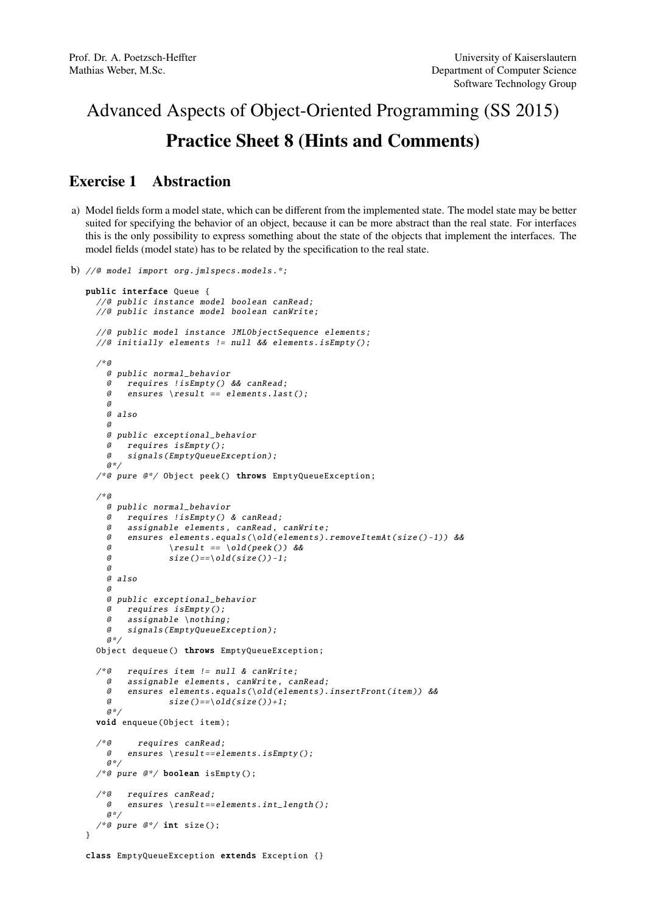## Advanced Aspects of Object-Oriented Programming (SS 2015) Practice Sheet 8 (Hints and Comments)

## Exercise 1 Abstraction

a) Model fields form a model state, which can be different from the implemented state. The model state may be better suited for specifying the behavior of an object, because it can be more abstract than the real state. For interfaces this is the only possibility to express something about the state of the objects that implement the interfaces. The model fields (model state) has to be related by the specification to the real state.

```
b) //@ model import org.jmlspecs.models .*;
  public interface Queue {
    //@ public instance model boolean canRead;
     //@ public instance model boolean canWrite;
    //@ public model instance JMLObjectSequence elements;
     //@ initially elements != null && elements.isEmpty ();
     /*@
       @ public normal_behavior
       @ requires !isEmpty () && canRead;
       @ ensures \result == elements.last();
       @
       @ also
       @
       @ public exceptional_behavior
          requires isEmpty();
       @ signals( EmptyQueueException );
       a*//*@ pure @*/ Object peek () throws EmptyQueueException ;
     /*@
       @ public normal_behavior
       @ requires !isEmpty () & canRead;
       @ assignable elements , canRead , canWrite;
       @ ensures elements.equals (\ old(elements ). removeItemAt (size () -1)) &&
       @ \result == \old(peek()) &&
       \emptyset size()==\old(size())-1;
       \theta@ also
       @
       @ public exceptional_behavior
       @ requires isEmpty ();
       @ assignable \nothing;
       @ signals( EmptyQueueException );
       a^*/Object dequeue () throws EmptyQueueException ;
     /*@ requires item != null & canWrite;
       @ assignable elements , canWrite , canRead;
       @ ensures elements.equals (\ old(elements ). insertFront (item )) &&
       \emptyset size ()==\old(size())+1;
       @*/
    void enqueue(Object item);
     /*@ requires canRead;
      @ ensures \result == elements.isEmpty ();
       @*/
     /*@ pure @*/ boolean isEmpty();
     /*@ requires canRead;<br>@ ensures \result--
           ensures \text{?} result == elements. int_length();
       a^*//*@ pure @*/ int size();
   }
   class EmptyQueueException extends Exception {}
```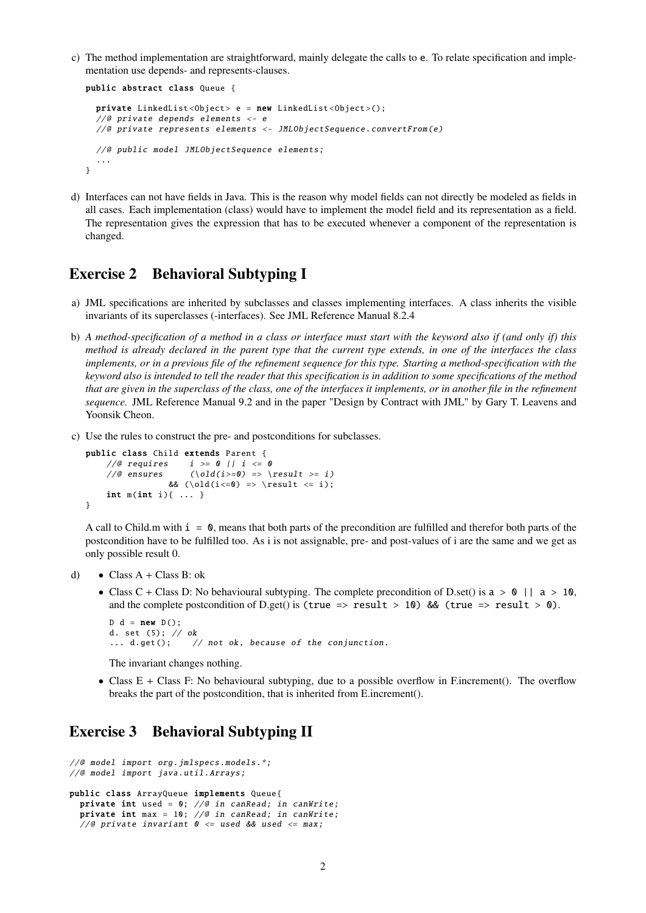c) The method implementation are straightforward, mainly delegate the calls to e. To relate specification and implementation use depends- and represents-clauses.

```
public abstract class Queue {
  private LinkedList<Object> e = new LinkedList<Object>();
  //@ private depends elements <- e
  //@ private represents elements <- JMLObjectSequence . convertFrom (e)
 //@ public model JMLObjectSequence elements;
  ...
}
```
d) Interfaces can not have fields in Java. This is the reason why model fields can not directly be modeled as fields in all cases. Each implementation (class) would have to implement the model field and its representation as a field. The representation gives the expression that has to be executed whenever a component of the representation is changed.

## Exercise 2 Behavioral Subtyping I

- a) JML specifications are inherited by subclasses and classes implementing interfaces. A class inherits the visible invariants of its superclasses (-interfaces). See JML Reference Manual 8.2.4
- b) *A method-specification of a method in a class or interface must start with the keyword also if (and only if) this method is already declared in the parent type that the current type extends, in one of the interfaces the class implements, or in a previous file of the refinement sequence for this type. Starting a method-specification with the keyword also is intended to tell the reader that this specification is in addition to some specifications of the method that are given in the superclass of the class, one of the interfaces it implements, or in another file in the refinement sequence.* JML Reference Manual 9.2 and in the paper "Design by Contract with JML" by Gary T. Leavens and Yoonsik Cheon.
- c) Use the rules to construct the pre- and postconditions for subclasses.

```
public class Child extends Parent {
    //@ requires i \ge 0 || i \le 0//@ ensures (\Delta(i)=0) \Rightarrow \dagger => (i)& ( \old(i<=0) \implies \result &lt;= i);int m(int i) \{ \ldots \}}
```
A call to Child.m with  $i = 0$ , means that both parts of the precondition are fulfilled and therefor both parts of the postcondition have to be fulfilled too. As i is not assignable, pre- and post-values of i are the same and we get as only possible result 0.

d) • Class  $A + Class B$ : ok

• Class C + Class D: No behavioural subtyping. The complete precondition of D.set() is  $a > 0$  ||  $a > 10$ , and the complete postcondition of D.get() is (true => result > 10) && (true => result > 0).

```
D d = new D():
d. set (5); // ok
... d.get(); // not ok, because of the conjunction.
```
The invariant changes nothing.

• Class E + Class F: No behavioural subtyping, due to a possible overflow in F.increment(). The overflow breaks the part of the postcondition, that is inherited from E.increment().

## Exercise 3 Behavioral Subtyping II

```
//@ model import org.jmlspecs.models .*;
//@ model import java.util.Arrays;
public class ArrayQueue implements Queue{
 private int used = 0; //@ in canRead; in canWrite;
 private int max = 10; //@ in canRead; in canWrite;
 //@ private invariant 0 \le used && used \le max;
```